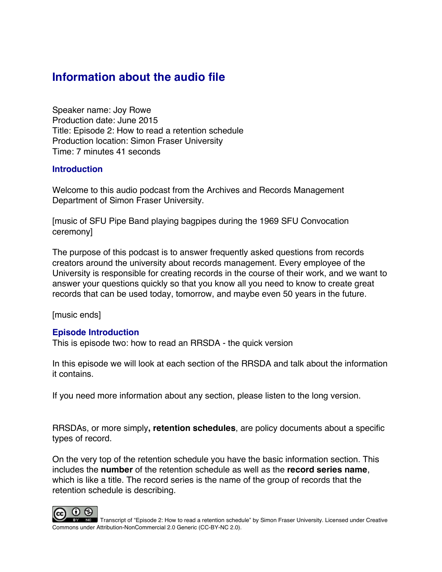# **Information about the audio file**

Speaker name: Joy Rowe Production date: June 2015 Title: Episode 2: How to read a retention schedule Production location: Simon Fraser University Time: 7 minutes 41 seconds

### **Introduction**

Welcome to this audio podcast from the Archives and Records Management Department of Simon Fraser University.

[music of SFU Pipe Band playing bagpipes during the 1969 SFU Convocation ceremony]

The purpose of this podcast is to answer frequently asked questions from records creators around the university about records management. Every employee of the University is responsible for creating records in the course of their work, and we want to answer your questions quickly so that you know all you need to know to create great records that can be used today, tomorrow, and maybe even 50 years in the future.

[music ends]

## **Episode Introduction**

This is episode two: how to read an RRSDA - the quick version

In this episode we will look at each section of the RRSDA and talk about the information it contains.

If you need more information about any section, please listen to the long version.

RRSDAs, or more simply**, retention schedules**, are policy documents about a specific types of record.

On the very top of the retention schedule you have the basic information section. This includes the **number** of the retention schedule as well as the **record series name**, which is like a title. The record series is the name of the group of records that the retention schedule is describing.

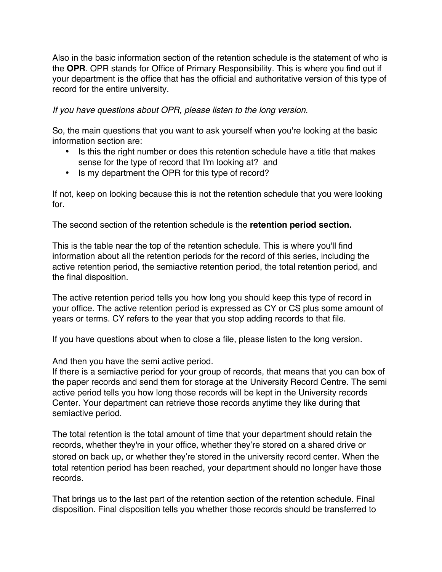Also in the basic information section of the retention schedule is the statement of who is the **OPR**. OPR stands for Office of Primary Responsibility. This is where you find out if your department is the office that has the official and authoritative version of this type of record for the entire university.

*If you have questions about OPR, please listen to the long version.*

So, the main questions that you want to ask yourself when you're looking at the basic information section are:

- Is this the right number or does this retention schedule have a title that makes sense for the type of record that I'm looking at? and
- Is my department the OPR for this type of record?

If not, keep on looking because this is not the retention schedule that you were looking for.

The second section of the retention schedule is the **retention period section.**

This is the table near the top of the retention schedule. This is where you'll find information about all the retention periods for the record of this series, including the active retention period, the semiactive retention period, the total retention period, and the final disposition.

The active retention period tells you how long you should keep this type of record in your office. The active retention period is expressed as CY or CS plus some amount of years or terms. CY refers to the year that you stop adding records to that file.

If you have questions about when to close a file, please listen to the long version.

And then you have the semi active period.

If there is a semiactive period for your group of records, that means that you can box of the paper records and send them for storage at the University Record Centre. The semi active period tells you how long those records will be kept in the University records Center. Your department can retrieve those records anytime they like during that semiactive period.

The total retention is the total amount of time that your department should retain the records, whether they're in your office, whether they're stored on a shared drive or stored on back up, or whether they're stored in the university record center. When the total retention period has been reached, your department should no longer have those records.

That brings us to the last part of the retention section of the retention schedule. Final disposition. Final disposition tells you whether those records should be transferred to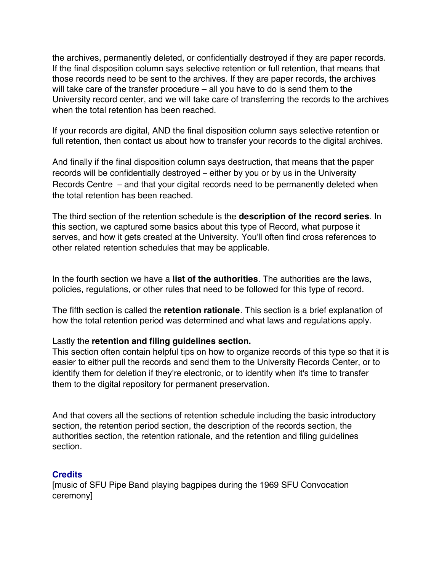the archives, permanently deleted, or confidentially destroyed if they are paper records. If the final disposition column says selective retention or full retention, that means that those records need to be sent to the archives. If they are paper records, the archives will take care of the transfer procedure – all you have to do is send them to the University record center, and we will take care of transferring the records to the archives when the total retention has been reached.

If your records are digital, AND the final disposition column says selective retention or full retention, then contact us about how to transfer your records to the digital archives.

And finally if the final disposition column says destruction, that means that the paper records will be confidentially destroyed – either by you or by us in the University Records Centre – and that your digital records need to be permanently deleted when the total retention has been reached.

The third section of the retention schedule is the **description of the record series**. In this section, we captured some basics about this type of Record, what purpose it serves, and how it gets created at the University. You'll often find cross references to other related retention schedules that may be applicable.

In the fourth section we have a **list of the authorities**. The authorities are the laws, policies, regulations, or other rules that need to be followed for this type of record.

The fifth section is called the **retention rationale**. This section is a brief explanation of how the total retention period was determined and what laws and regulations apply.

### Lastly the **retention and filing guidelines section.**

This section often contain helpful tips on how to organize records of this type so that it is easier to either pull the records and send them to the University Records Center, or to identify them for deletion if they're electronic, or to identify when it's time to transfer them to the digital repository for permanent preservation.

And that covers all the sections of retention schedule including the basic introductory section, the retention period section, the description of the records section, the authorities section, the retention rationale, and the retention and filing guidelines section.

### **Credits**

[music of SFU Pipe Band playing bagpipes during the 1969 SFU Convocation ceremony]